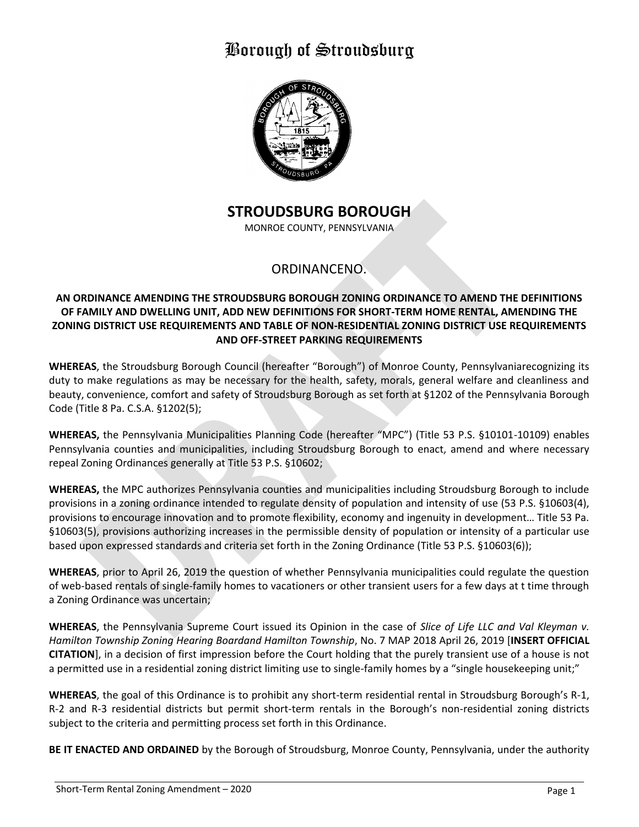

## **STROUDSBURG BOROUGH**

MONROE COUNTY, PENNSYLVANIA

### ORDINANCENO.

### **AN ORDINANCE AMENDING THE STROUDSBURG BOROUGH ZONING ORDINANCE TO AMEND THE DEFINITIONS OF FAMILY AND DWELLING UNIT, ADD NEW DEFINITIONS FOR SHORT-TERM HOME RENTAL, AMENDING THE ZONING DISTRICT USE REQUIREMENTS AND TABLE OF NON-RESIDENTIAL ZONING DISTRICT USE REQUIREMENTS AND OFF-STREET PARKING REQUIREMENTS**

**WHEREAS**, the Stroudsburg Borough Council (hereafter "Borough") of Monroe County, Pennsylvaniarecognizing its duty to make regulations as may be necessary for the health, safety, morals, general welfare and cleanliness and beauty, convenience, comfort and safety of Stroudsburg Borough as set forth at §1202 of the Pennsylvania Borough Code (Title 8 Pa. C.S.A. §1202(5);

**WHEREAS,** the Pennsylvania Municipalities Planning Code (hereafter "MPC") (Title 53 P.S. §10101-10109) enables Pennsylvania counties and municipalities, including Stroudsburg Borough to enact, amend and where necessary repeal Zoning Ordinances generally at Title 53 P.S. §10602;

**WHEREAS,** the MPC authorizes Pennsylvania counties and municipalities including Stroudsburg Borough to include provisions in a zoning ordinance intended to regulate density of population and intensity of use (53 P.S. §10603(4), provisions to encourage innovation and to promote flexibility, economy and ingenuity in development… Title 53 Pa. §10603(5), provisions authorizing increases in the permissible density of population or intensity of a particular use based upon expressed standards and criteria set forth in the Zoning Ordinance (Title 53 P.S. §10603(6));

**WHEREAS**, prior to April 26, 2019 the question of whether Pennsylvania municipalities could regulate the question of web-based rentals of single-family homes to vacationers or other transient users for a few days at t time through a Zoning Ordinance was uncertain;

**WHEREAS**, the Pennsylvania Supreme Court issued its Opinion in the case of *Slice of Life LLC and Val Kleyman v. Hamilton Township Zoning Hearing Boardand Hamilton Township*, No. 7 MAP 2018 April 26, 2019 [**INSERT OFFICIAL CITATION**], in a decision of first impression before the Court holding that the purely transient use of a house is not a permitted use in a residential zoning district limiting use to single-family homes by a "single housekeeping unit;"

**WHEREAS**, the goal of this Ordinance is to prohibit any short-term residential rental in Stroudsburg Borough's R-1, R-2 and R-3 residential districts but permit short-term rentals in the Borough's non-residential zoning districts subject to the criteria and permitting process set forth in this Ordinance.

**BE IT ENACTED AND ORDAINED** by the Borough of Stroudsburg, Monroe County, Pennsylvania, under the authority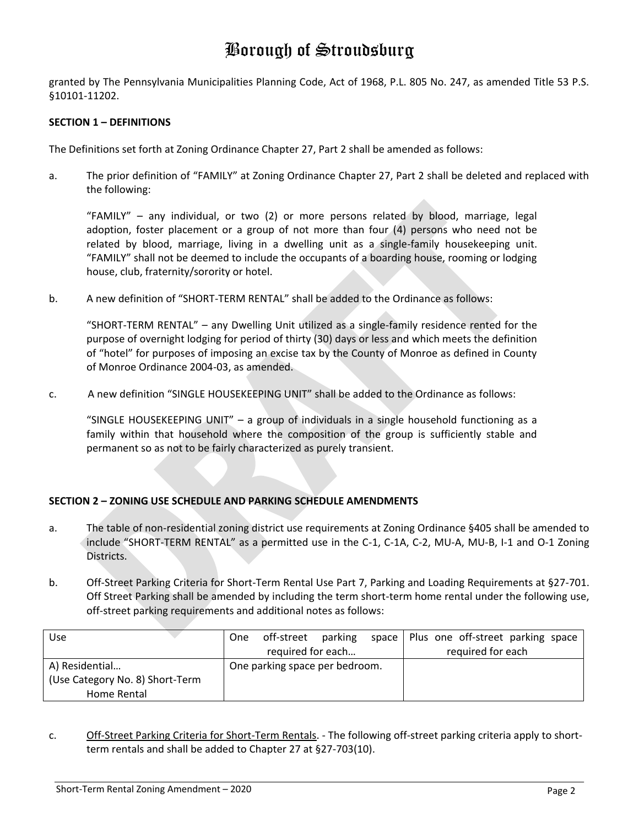granted by The Pennsylvania Municipalities Planning Code, Act of 1968, P.L. 805 No. 247, as amended Title 53 P.S. §10101-11202.

### **SECTION 1 – DEFINITIONS**

The Definitions set forth at Zoning Ordinance Chapter 27, Part 2 shall be amended as follows:

a. The prior definition of "FAMILY" at Zoning Ordinance Chapter 27, Part 2 shall be deleted and replaced with the following:

"FAMILY" – any individual, or two (2) or more persons related by blood, marriage, legal adoption, foster placement or a group of not more than four (4) persons who need not be related by blood, marriage, living in a dwelling unit as a single-family housekeeping unit. "FAMILY" shall not be deemed to include the occupants of a boarding house, rooming or lodging house, club, fraternity/sorority or hotel.

b. A new definition of "SHORT-TERM RENTAL" shall be added to the Ordinance as follows:

"SHORT-TERM RENTAL" – any Dwelling Unit utilized as a single-family residence rented for the purpose of overnight lodging for period of thirty (30) days or less and which meets the definition of "hotel" for purposes of imposing an excise tax by the County of Monroe as defined in County of Monroe Ordinance 2004-03, as amended.

c. A new definition "SINGLE HOUSEKEEPING UNIT" shall be added to the Ordinance as follows:

"SINGLE HOUSEKEEPING UNIT" – a group of individuals in a single household functioning as a family within that household where the composition of the group is sufficiently stable and permanent so as not to be fairly characterized as purely transient.

### **SECTION 2 – ZONING USE SCHEDULE AND PARKING SCHEDULE AMENDMENTS**

- a. The table of non-residential zoning district use requirements at Zoning Ordinance §405 shall be amended to include "SHORT-TERM RENTAL" as a permitted use in the C-1, C-1A, C-2, MU-A, MU-B, I-1 and O-1 Zoning Districts.
- b. Off-Street Parking Criteria for Short-Term Rental Use Part 7, Parking and Loading Requirements at §27-701. Off Street Parking shall be amended by including the term short-term home rental under the following use, off-street parking requirements and additional notes as follows:

| <b>Use</b>                      | One                            | off-street | parking |  | space   Plus one off-street parking space |
|---------------------------------|--------------------------------|------------|---------|--|-------------------------------------------|
|                                 | required for each              |            |         |  | required for each                         |
| A) Residential                  | One parking space per bedroom. |            |         |  |                                           |
| (Use Category No. 8) Short-Term |                                |            |         |  |                                           |
| Home Rental                     |                                |            |         |  |                                           |

c. Off-Street Parking Criteria for Short-Term Rentals. - The following off-street parking criteria apply to shortterm rentals and shall be added to Chapter 27 at §27-703(10).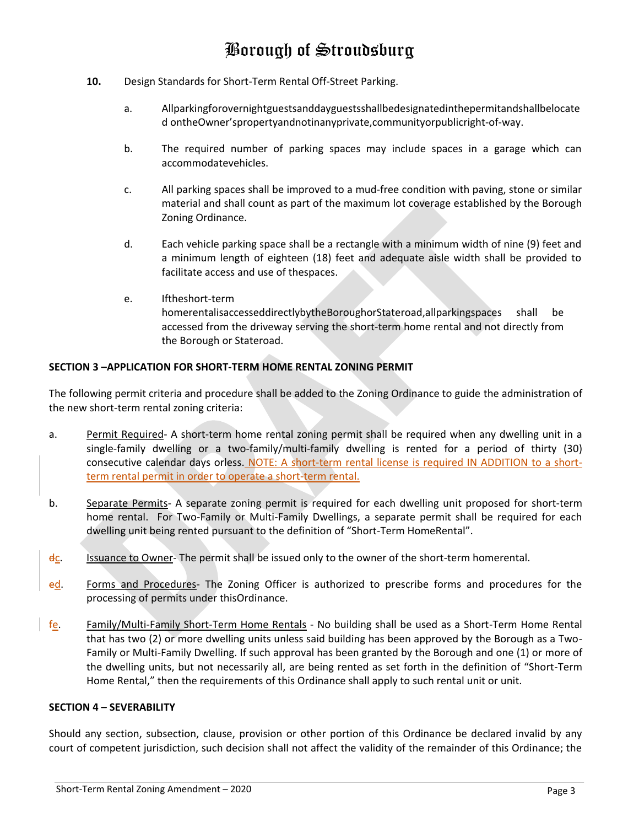- **10.** Design Standards for Short-Term Rental Off-Street Parking.
	- a. Allparkingforovernightguestsanddayguestsshallbedesignatedinthepermitandshallbelocate d ontheOwner'spropertyandnotinanyprivate,communityorpublicright‐of‐way.
	- b. The required number of parking spaces may include spaces in a garage which can accommodatevehicles.
	- c. All parking spaces shall be improved to a mud‐free condition with paving, stone or similar material and shall count as part of the maximum lot coverage established by the Borough Zoning Ordinance.
	- d. Each vehicle parking space shall be a rectangle with a minimum width of nine (9) feet and a minimum length of eighteen (18) feet and adequate aisle width shall be provided to facilitate access and use of thespaces.
	- e. Iftheshort-term homerentalisaccesseddirectlybytheBoroughorStateroad,allparkingspaces shall be accessed from the driveway serving the short-term home rental and not directly from the Borough or Stateroad.

### **SECTION 3 –APPLICATION FOR SHORT-TERM HOME RENTAL ZONING PERMIT**

The following permit criteria and procedure shall be added to the Zoning Ordinance to guide the administration of the new short-term rental zoning criteria:

- a. Permit Required‐ A short-term home rental zoning permit shall be required when any dwelling unit in a single-family dwelling or a two-family/multi-family dwelling is rented for a period of thirty (30) consecutive calendar days orless. NOTE: A short-term rental license is required IN ADDITION to a shortterm rental permit in order to operate a short-term rental.
- b. Separate Permits- A separate zoning permit is required for each dwelling unit proposed for short-term home rental. For Two-Family or Multi-Family Dwellings, a separate permit shall be required for each dwelling unit being rented pursuant to the definition of "Short-Term HomeRental".
- dc. Issuance to Owner-The permit shall be issued only to the owner of the short-term homerental.
- ed. Forms and Procedures- The Zoning Officer is authorized to prescribe forms and procedures for the processing of permits under thisOrdinance.
- fe. Family/Multi-Family Short-Term Home Rentals No building shall be used as a Short-Term Home Rental that has two (2) or more dwelling units unless said building has been approved by the Borough as a Two-Family or Multi-Family Dwelling. If such approval has been granted by the Borough and one (1) or more of the dwelling units, but not necessarily all, are being rented as set forth in the definition of "Short-Term Home Rental," then the requirements of this Ordinance shall apply to such rental unit or unit.

#### **SECTION 4 – SEVERABILITY**

Should any section, subsection, clause, provision or other portion of this Ordinance be declared invalid by any court of competent jurisdiction, such decision shall not affect the validity of the remainder of this Ordinance; the